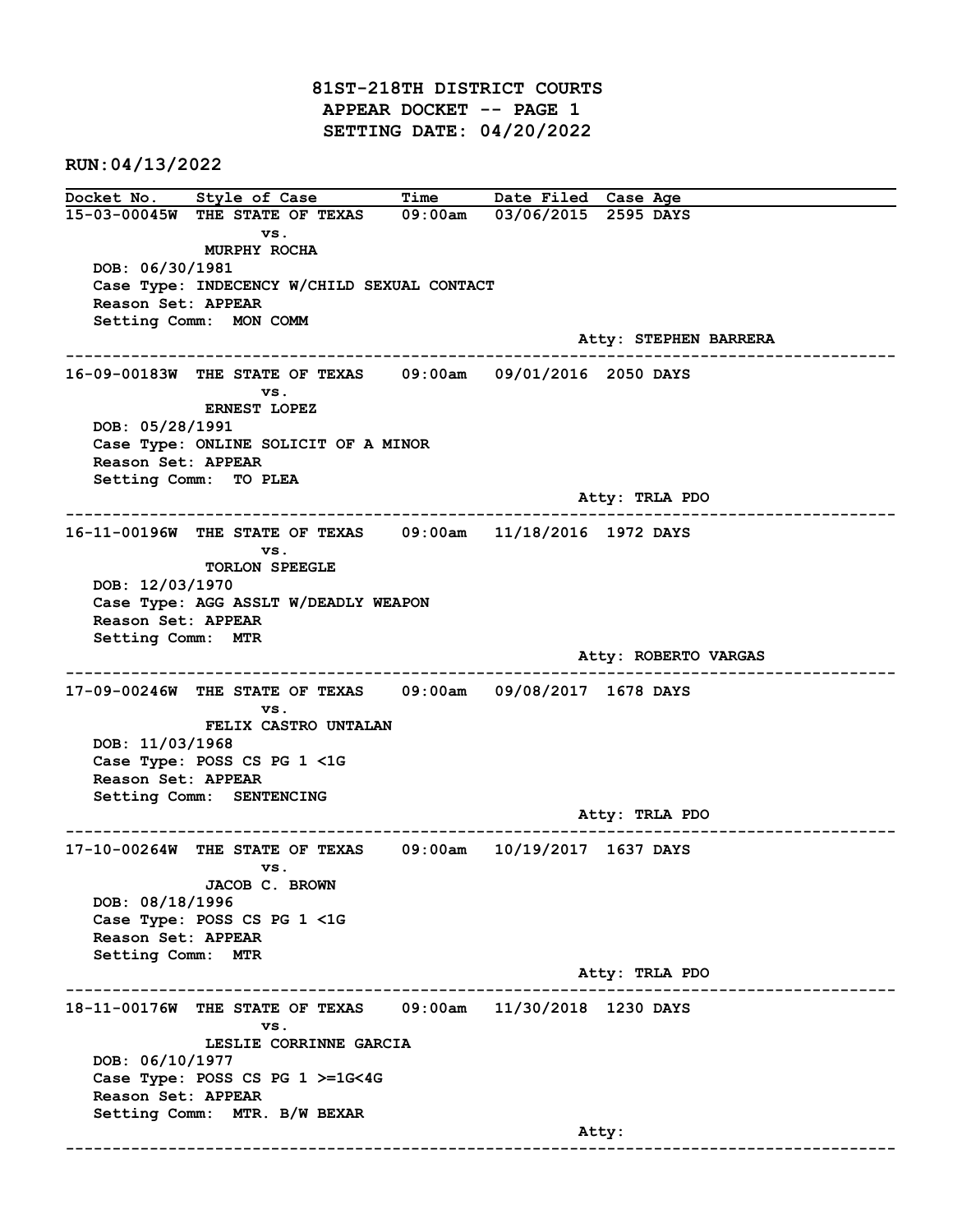81ST-218TH DISTRICT COURTS APPEAR DOCKET -- PAGE 1 SETTING DATE: 04/20/2022

RUN:04/13/2022

Docket No. Style of Case Time Date Filed Case Age 15-03-00045W THE STATE OF TEXAS 09:00am 03/06/2015 2595 DAYS vs. MURPHY ROCHA DOB: 06/30/1981 Case Type: INDECENCY W/CHILD SEXUAL CONTACT Reason Set: APPEAR Setting Comm: MON COMM Atty: STEPHEN BARRERA ------------------------------------------------------------------------------------------------------------------------ 16-09-00183W THE STATE OF TEXAS 09:00am 09/01/2016 2050 DAYS vs. ERNEST LOPEZ DOB: 05/28/1991 Case Type: ONLINE SOLICIT OF A MINOR Reason Set: APPEAR Setting Comm: TO PLEA Atty: TRLA PDO ------------------------------------------------------------------------------------------------------------------------ 16-11-00196W THE STATE OF TEXAS 09:00am 11/18/2016 1972 DAYS vs. TORLON SPEEGLE DOB: 12/03/1970 Case Type: AGG ASSLT W/DEADLY WEAPON Reason Set: APPEAR Setting Comm: MTR Atty: ROBERTO VARGAS ------------------------------------------------------------------------------------------------------------------------ 17-09-00246W THE STATE OF TEXAS 09:00am 09/08/2017 1678 DAYS vs. FELIX CASTRO UNTALAN DOB: 11/03/1968 Case Type: POSS CS PG 1 <1G Reason Set: APPEAR Setting Comm: SENTENCING Atty: TRLA PDO ------------------------------------------------------------------------------------------------------------------------ 17-10-00264W THE STATE OF TEXAS 09:00am 10/19/2017 1637 DAYS vs. JACOB C. BROWN DOB: 08/18/1996 Case Type: POSS CS PG 1 <1G Reason Set: APPEAR Setting Comm: MTR Atty: TRLA PDO ------------------------------------------------------------------------------------------------------------------------ 18-11-00176W THE STATE OF TEXAS 09:00am 11/30/2018 1230 DAYS vs. LESLIE CORRINNE GARCIA DOB: 06/10/1977 Case Type: POSS CS PG 1 >=1G<4G Reason Set: APPEAR Setting Comm: MTR. B/W BEXAR example of the contract of the contract of the contract of the contract of the contract of the contract of the contract of the contract of the contract of the contract of the contract of the contract of the contract of the ------------------------------------------------------------------------------------------------------------------------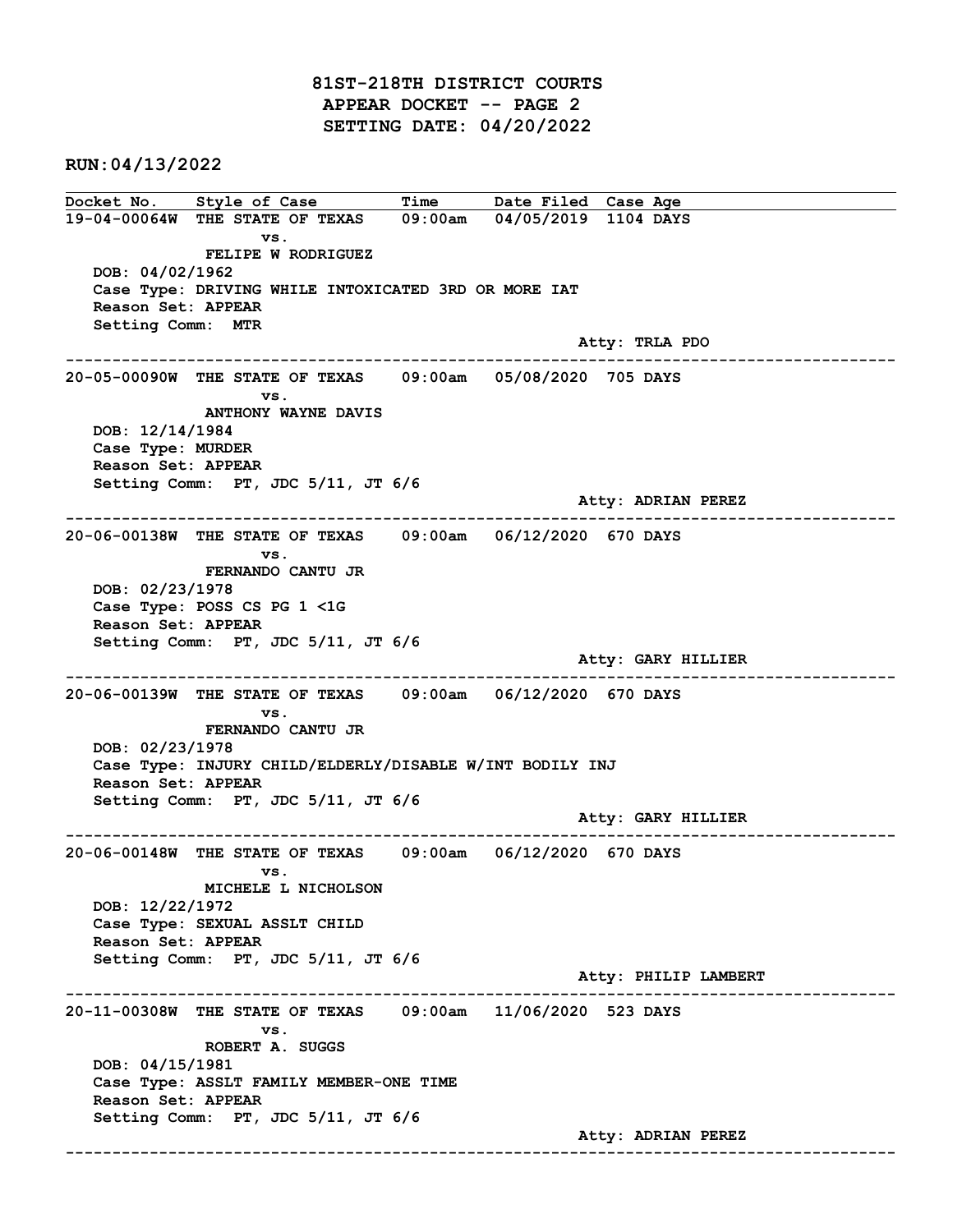81ST-218TH DISTRICT COURTS APPEAR DOCKET -- PAGE 2 SETTING DATE: 04/20/2022

RUN:04/13/2022

Docket No. Style of Case Time Date Filed Case Age 19-04-00064W THE STATE OF TEXAS 09:00am 04/05/2019 1104 DAYS vs. FELIPE W RODRIGUEZ DOB: 04/02/1962 Case Type: DRIVING WHILE INTOXICATED 3RD OR MORE IAT Reason Set: APPEAR Setting Comm: MTR Atty: TRLA PDO ------------------------------------------------------------------------------------------------------------------------ 20-05-00090W THE STATE OF TEXAS 09:00am 05/08/2020 705 DAYS vs. ANTHONY WAYNE DAVIS DOB: 12/14/1984 Case Type: MURDER Reason Set: APPEAR Setting Comm: PT, JDC 5/11, JT 6/6 Atty: ADRIAN PEREZ ------------------------------------------------------------------------------------------------------------------------ 20-06-00138W THE STATE OF TEXAS 09:00am 06/12/2020 670 DAYS vs. FERNANDO CANTU JR DOB: 02/23/1978 Case Type: POSS CS PG 1 <1G Reason Set: APPEAR Setting Comm: PT, JDC 5/11, JT 6/6 Atty: GARY HILLIER ------------------------------------------------------------------------------------------------------------------------ 20-06-00139W THE STATE OF TEXAS 09:00am 06/12/2020 670 DAYS vs. FERNANDO CANTU JR DOB: 02/23/1978 Case Type: INJURY CHILD/ELDERLY/DISABLE W/INT BODILY INJ Reason Set: APPEAR Setting Comm: PT, JDC 5/11, JT 6/6 Atty: GARY HILLIER ------------------------------------------------------------------------------------------------------------------------ 20-06-00148W THE STATE OF TEXAS 09:00am 06/12/2020 670 DAYS vs. MICHELE L NICHOLSON DOB: 12/22/1972 Case Type: SEXUAL ASSLT CHILD Reason Set: APPEAR Setting Comm: PT, JDC 5/11, JT 6/6 Atty: PHILIP LAMBERT ------------------------------------------------------------------------------------------------------------------------ 20-11-00308W THE STATE OF TEXAS 09:00am 11/06/2020 523 DAYS vs. ROBERT A. SUGGS DOB: 04/15/1981 Case Type: ASSLT FAMILY MEMBER-ONE TIME Reason Set: APPEAR Setting Comm: PT, JDC 5/11, JT 6/6 Atty: ADRIAN PEREZ ------------------------------------------------------------------------------------------------------------------------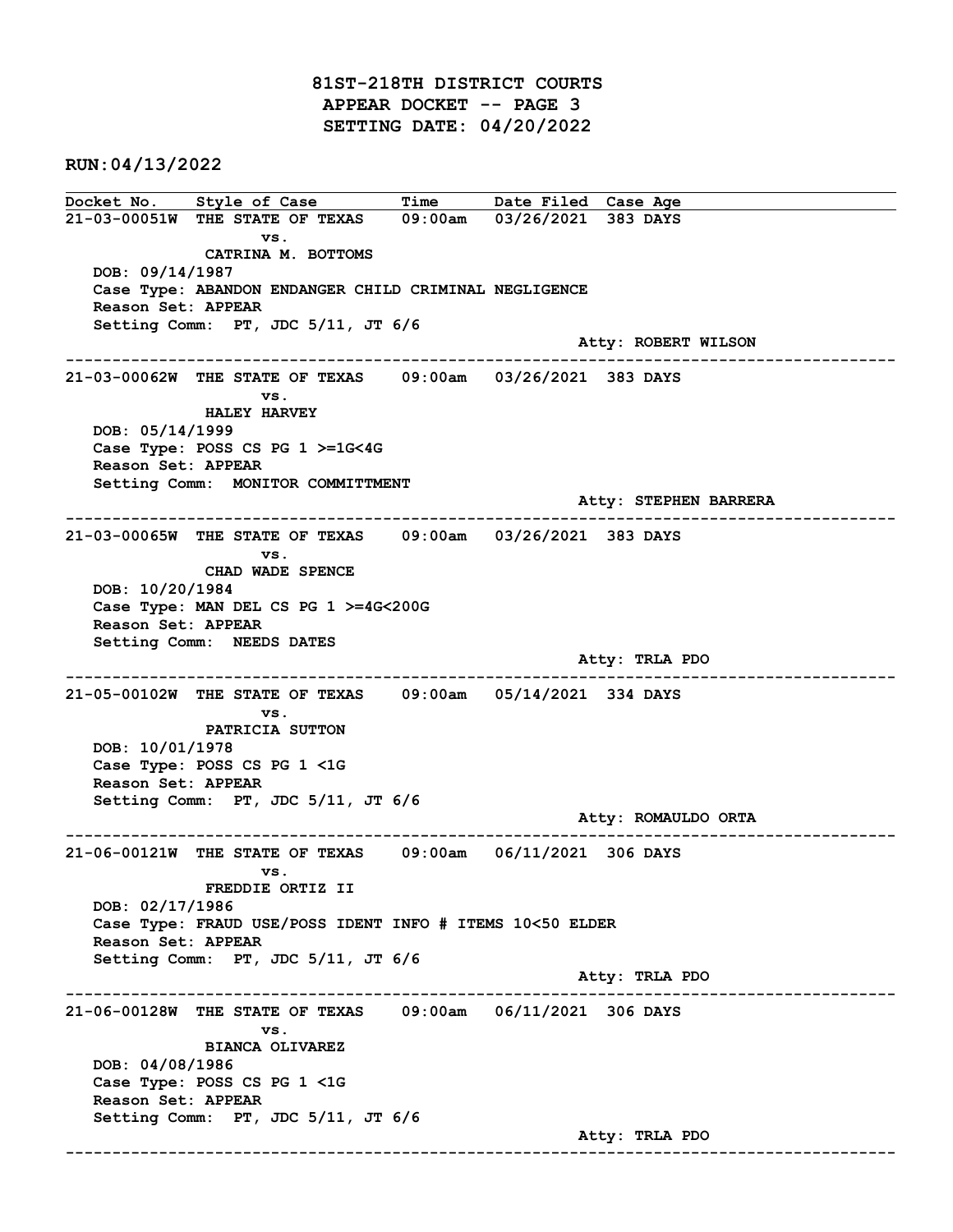81ST-218TH DISTRICT COURTS APPEAR DOCKET -- PAGE 3 SETTING DATE: 04/20/2022

RUN:04/13/2022

Docket No. Style of Case Time Date Filed Case Age 21-03-00051W THE STATE OF TEXAS 09:00am 03/26/2021 383 DAYS vs. CATRINA M. BOTTOMS DOB: 09/14/1987 Case Type: ABANDON ENDANGER CHILD CRIMINAL NEGLIGENCE Reason Set: APPEAR Setting Comm: PT, JDC 5/11, JT 6/6 Atty: ROBERT WILSON ------------------------------------------------------------------------------------------------------------------------ 21-03-00062W THE STATE OF TEXAS 09:00am 03/26/2021 383 DAYS vs. HALEY HARVEY DOB: 05/14/1999 Case Type: POSS CS PG 1 >=1G<4G Reason Set: APPEAR Setting Comm: MONITOR COMMITTMENT Atty: STEPHEN BARRERA ------------------------------------------------------------------------------------------------------------------------ 21-03-00065W THE STATE OF TEXAS 09:00am 03/26/2021 383 DAYS vs. CHAD WADE SPENCE DOB: 10/20/1984 Case Type: MAN DEL CS PG 1 >=4G<200G Reason Set: APPEAR Setting Comm: NEEDS DATES Atty: TRLA PDO ------------------------------------------------------------------------------------------------------------------------ 21-05-00102W THE STATE OF TEXAS 09:00am 05/14/2021 334 DAYS vs. PATRICIA SUTTON DOB: 10/01/1978 Case Type: POSS CS PG 1 <1G Reason Set: APPEAR Setting Comm: PT, JDC 5/11, JT 6/6 Atty: ROMAULDO ORTA ------------------------------------------------------------------------------------------------------------------------ 21-06-00121W THE STATE OF TEXAS 09:00am 06/11/2021 306 DAYS vs. FREDDIE ORTIZ II DOB: 02/17/1986 Case Type: FRAUD USE/POSS IDENT INFO # ITEMS 10<50 ELDER Reason Set: APPEAR Setting Comm: PT, JDC 5/11, JT 6/6 Atty: TRLA PDO ------------------------------------------------------------------------------------------------------------------------ 21-06-00128W THE STATE OF TEXAS 09:00am 06/11/2021 306 DAYS vs. BIANCA OLIVAREZ DOB: 04/08/1986 Case Type: POSS CS PG 1 <1G Reason Set: APPEAR Setting Comm: PT, JDC 5/11, JT 6/6 Atty: TRLA PDO ------------------------------------------------------------------------------------------------------------------------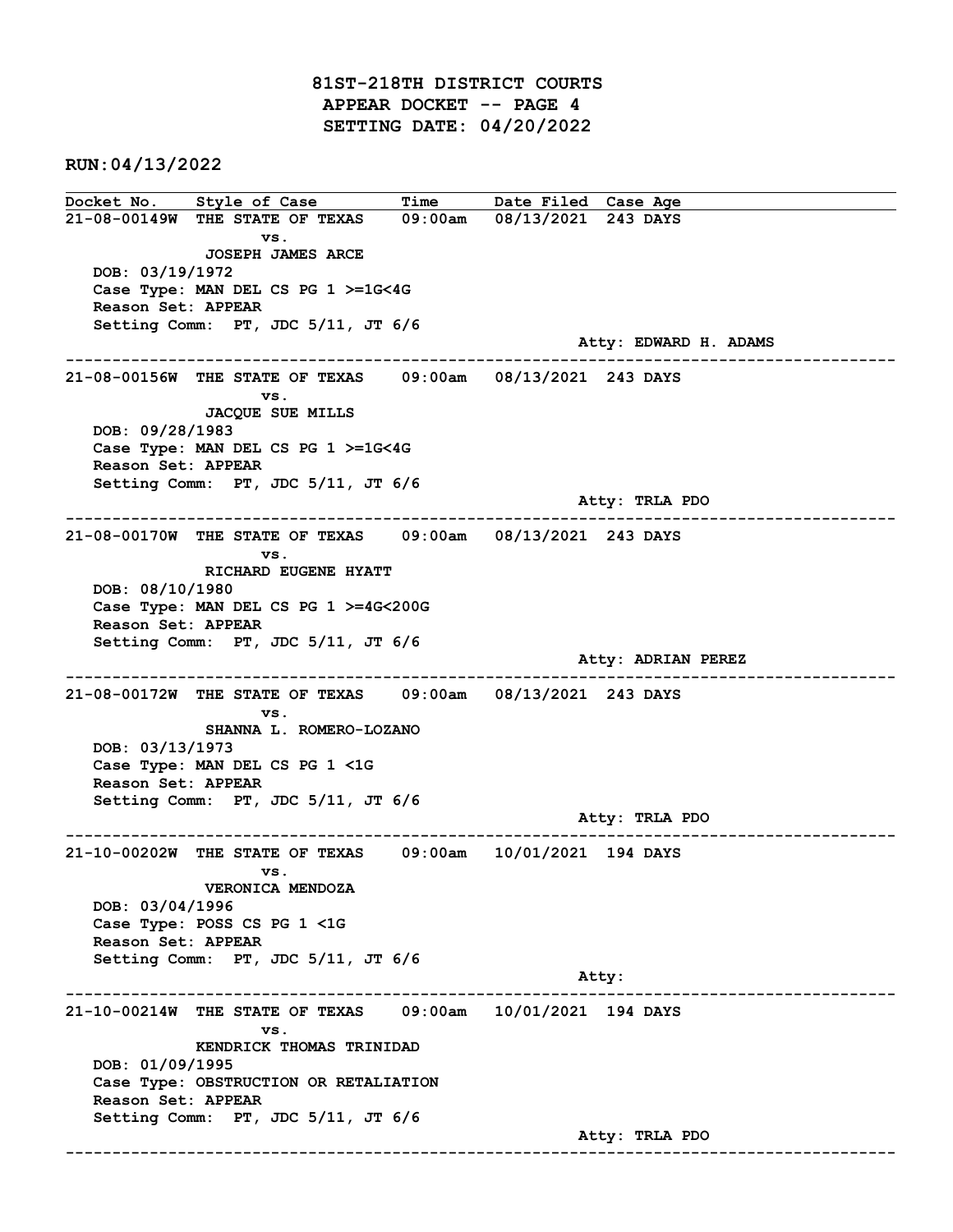81ST-218TH DISTRICT COURTS APPEAR DOCKET -- PAGE 4 SETTING DATE: 04/20/2022

RUN:04/13/2022

Docket No. Style of Case Time Date Filed Case Age 21-08-00149W THE STATE OF TEXAS 09:00am 08/13/2021 243 DAYS vs. JOSEPH JAMES ARCE DOB: 03/19/1972 Case Type: MAN DEL CS PG 1 >=1G<4G Reason Set: APPEAR Setting Comm: PT, JDC 5/11, JT 6/6 Atty: EDWARD H. ADAMS ------------------------------------------------------------------------------------------------------------------------ 21-08-00156W THE STATE OF TEXAS 09:00am 08/13/2021 243 DAYS vs. JACQUE SUE MILLS DOB: 09/28/1983 Case Type: MAN DEL CS PG 1 >=1G<4G Reason Set: APPEAR Setting Comm: PT, JDC 5/11, JT 6/6 Atty: TRLA PDO ------------------------------------------------------------------------------------------------------------------------ 21-08-00170W THE STATE OF TEXAS 09:00am 08/13/2021 243 DAYS vs. RICHARD EUGENE HYATT DOB: 08/10/1980 Case Type: MAN DEL CS PG 1 >=4G<200G Reason Set: APPEAR Setting Comm: PT, JDC 5/11, JT 6/6 Atty: ADRIAN PEREZ ------------------------------------------------------------------------------------------------------------------------ 21-08-00172W THE STATE OF TEXAS 09:00am 08/13/2021 243 DAYS vs. SHANNA L. ROMERO-LOZANO DOB: 03/13/1973 Case Type: MAN DEL CS PG 1 <1G Reason Set: APPEAR Setting Comm: PT, JDC 5/11, JT 6/6 Atty: TRLA PDO ------------------------------------------------------------------------------------------------------------------------ 21-10-00202W THE STATE OF TEXAS 09:00am 10/01/2021 194 DAYS vs. VERONICA MENDOZA DOB: 03/04/1996 Case Type: POSS CS PG 1 <1G Reason Set: APPEAR Setting Comm: PT, JDC 5/11, JT 6/6 Atty: ------------------------------------------------------------------------------------------------------------------------ 21-10-00214W THE STATE OF TEXAS 09:00am 10/01/2021 194 DAYS vs. KENDRICK THOMAS TRINIDAD DOB: 01/09/1995 Case Type: OBSTRUCTION OR RETALIATION Reason Set: APPEAR Setting Comm: PT, JDC 5/11, JT 6/6 Atty: TRLA PDO ------------------------------------------------------------------------------------------------------------------------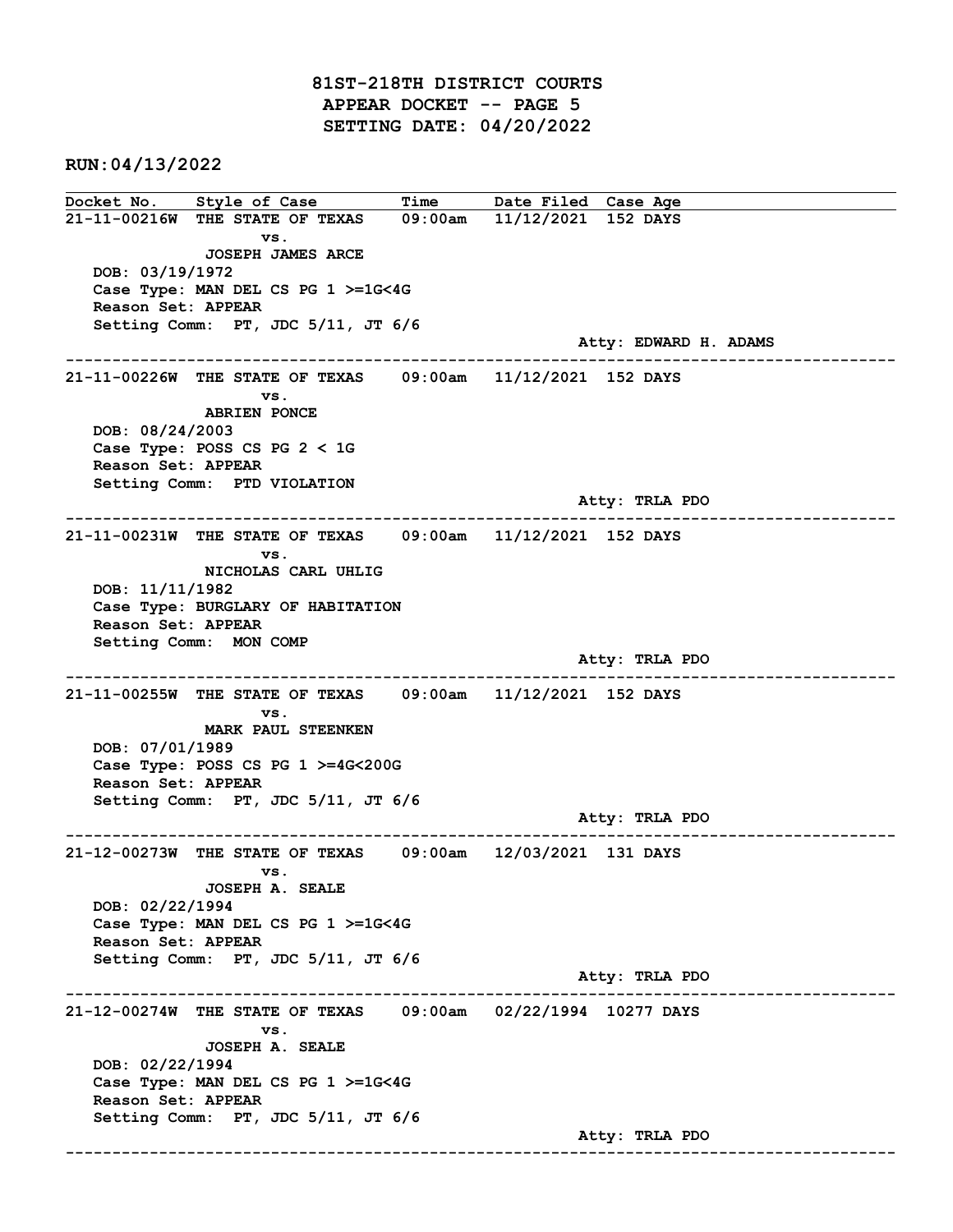81ST-218TH DISTRICT COURTS APPEAR DOCKET -- PAGE 5 SETTING DATE: 04/20/2022

RUN:04/13/2022

Docket No. Style of Case Time Date Filed Case Age 21-11-00216W THE STATE OF TEXAS 09:00am 11/12/2021 152 DAYS vs. JOSEPH JAMES ARCE DOB: 03/19/1972 Case Type: MAN DEL CS PG 1 >=1G<4G Reason Set: APPEAR Setting Comm: PT, JDC 5/11, JT 6/6 Atty: EDWARD H. ADAMS ------------------------------------------------------------------------------------------------------------------------ 21-11-00226W THE STATE OF TEXAS 09:00am 11/12/2021 152 DAYS vs. ABRIEN PONCE DOB: 08/24/2003 Case Type: POSS CS PG 2 < 1G Reason Set: APPEAR Setting Comm: PTD VIOLATION Atty: TRLA PDO ------------------------------------------------------------------------------------------------------------------------ 21-11-00231W THE STATE OF TEXAS 09:00am 11/12/2021 152 DAYS vs. NICHOLAS CARL UHLIG DOB: 11/11/1982 Case Type: BURGLARY OF HABITATION Reason Set: APPEAR Setting Comm: MON COMP Atty: TRLA PDO ------------------------------------------------------------------------------------------------------------------------ 21-11-00255W THE STATE OF TEXAS 09:00am 11/12/2021 152 DAYS vs. MARK PAUL STEENKEN DOB: 07/01/1989 Case Type: POSS CS PG 1 >=4G<200G Reason Set: APPEAR Setting Comm: PT, JDC 5/11, JT 6/6 Atty: TRLA PDO ------------------------------------------------------------------------------------------------------------------------ 21-12-00273W THE STATE OF TEXAS 09:00am 12/03/2021 131 DAYS vs. JOSEPH A. SEALE DOB: 02/22/1994 Case Type: MAN DEL CS PG 1 >=1G<4G Reason Set: APPEAR Setting Comm: PT, JDC 5/11, JT 6/6 Atty: TRLA PDO ------------------------------------------------------------------------------------------------------------------------ 21-12-00274W THE STATE OF TEXAS 09:00am 02/22/1994 10277 DAYS vs. JOSEPH A. SEALE DOB: 02/22/1994 Case Type: MAN DEL CS PG 1 >=1G<4G Reason Set: APPEAR Setting Comm: PT, JDC 5/11, JT 6/6 Atty: TRLA PDO ------------------------------------------------------------------------------------------------------------------------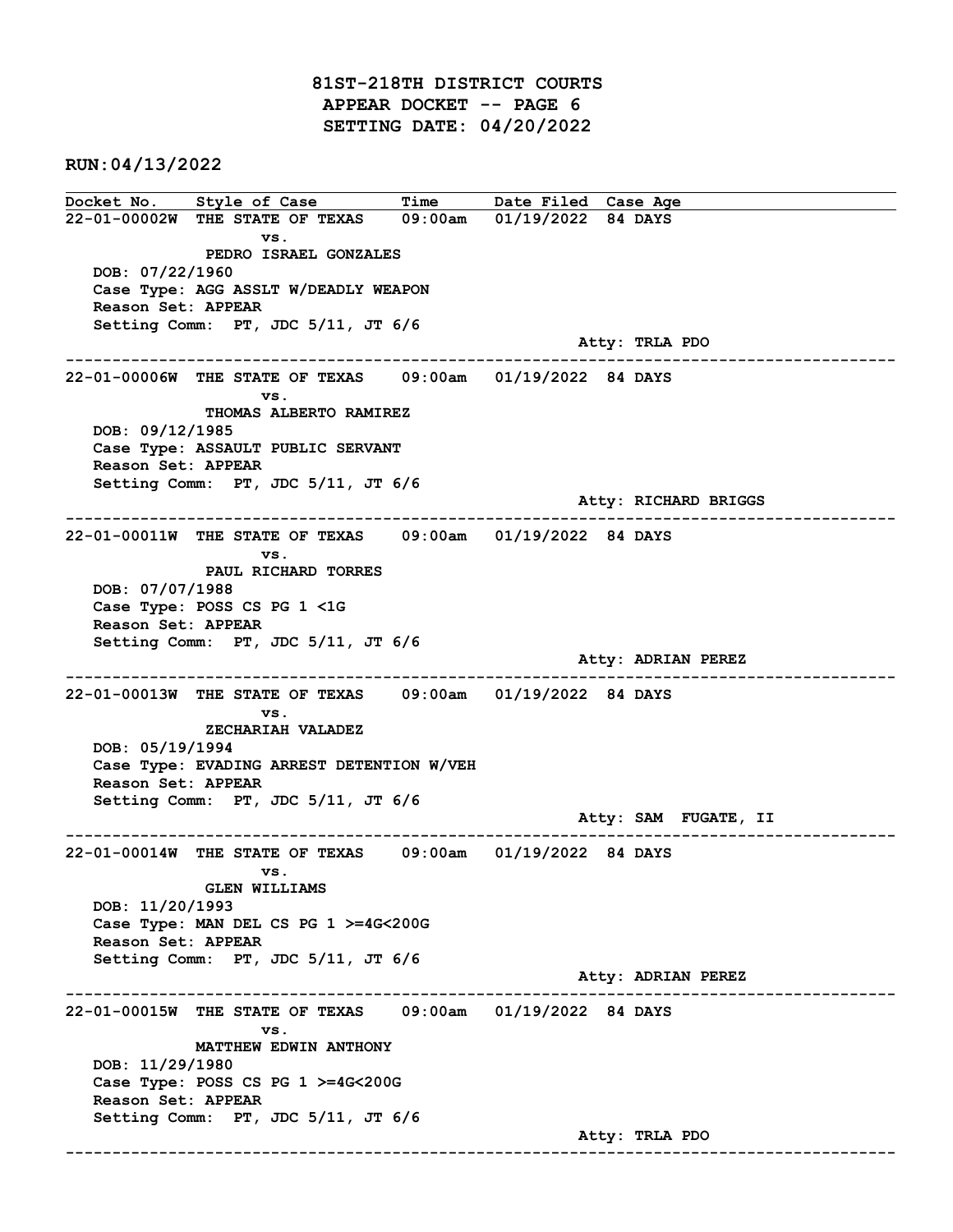81ST-218TH DISTRICT COURTS APPEAR DOCKET -- PAGE 6 SETTING DATE: 04/20/2022

RUN:04/13/2022

Docket No. Style of Case Time Date Filed Case Age 22-01-00002W THE STATE OF TEXAS 09:00am 01/19/2022 84 DAYS vs. PEDRO ISRAEL GONZALES DOB: 07/22/1960 Case Type: AGG ASSLT W/DEADLY WEAPON Reason Set: APPEAR Setting Comm: PT, JDC 5/11, JT 6/6 Atty: TRLA PDO ------------------------------------------------------------------------------------------------------------------------ 22-01-00006W THE STATE OF TEXAS 09:00am 01/19/2022 84 DAYS vs. THOMAS ALBERTO RAMIREZ DOB: 09/12/1985 Case Type: ASSAULT PUBLIC SERVANT Reason Set: APPEAR Setting Comm: PT, JDC 5/11, JT 6/6 Atty: RICHARD BRIGGS ------------------------------------------------------------------------------------------------------------------------ 22-01-00011W THE STATE OF TEXAS 09:00am 01/19/2022 84 DAYS vs. PAUL RICHARD TORRES DOB: 07/07/1988 Case Type: POSS CS PG 1 <1G Reason Set: APPEAR Setting Comm: PT, JDC 5/11, JT 6/6 Atty: ADRIAN PEREZ ------------------------------------------------------------------------------------------------------------------------ 22-01-00013W THE STATE OF TEXAS 09:00am 01/19/2022 84 DAYS vs. ZECHARIAH VALADEZ DOB: 05/19/1994 Case Type: EVADING ARREST DETENTION W/VEH Reason Set: APPEAR Setting Comm: PT, JDC 5/11, JT 6/6 Atty: SAM FUGATE, II ------------------------------------------------------------------------------------------------------------------------ 22-01-00014W THE STATE OF TEXAS 09:00am 01/19/2022 84 DAYS vs. GLEN WILLIAMS DOB: 11/20/1993 Case Type: MAN DEL CS PG 1 >=4G<200G Reason Set: APPEAR Setting Comm: PT, JDC 5/11, JT 6/6 Atty: ADRIAN PEREZ ------------------------------------------------------------------------------------------------------------------------ 22-01-00015W THE STATE OF TEXAS 09:00am 01/19/2022 84 DAYS vs. MATTHEW EDWIN ANTHONY DOB: 11/29/1980 Case Type: POSS CS PG 1 >=4G<200G Reason Set: APPEAR Setting Comm: PT, JDC 5/11, JT 6/6 Atty: TRLA PDO ------------------------------------------------------------------------------------------------------------------------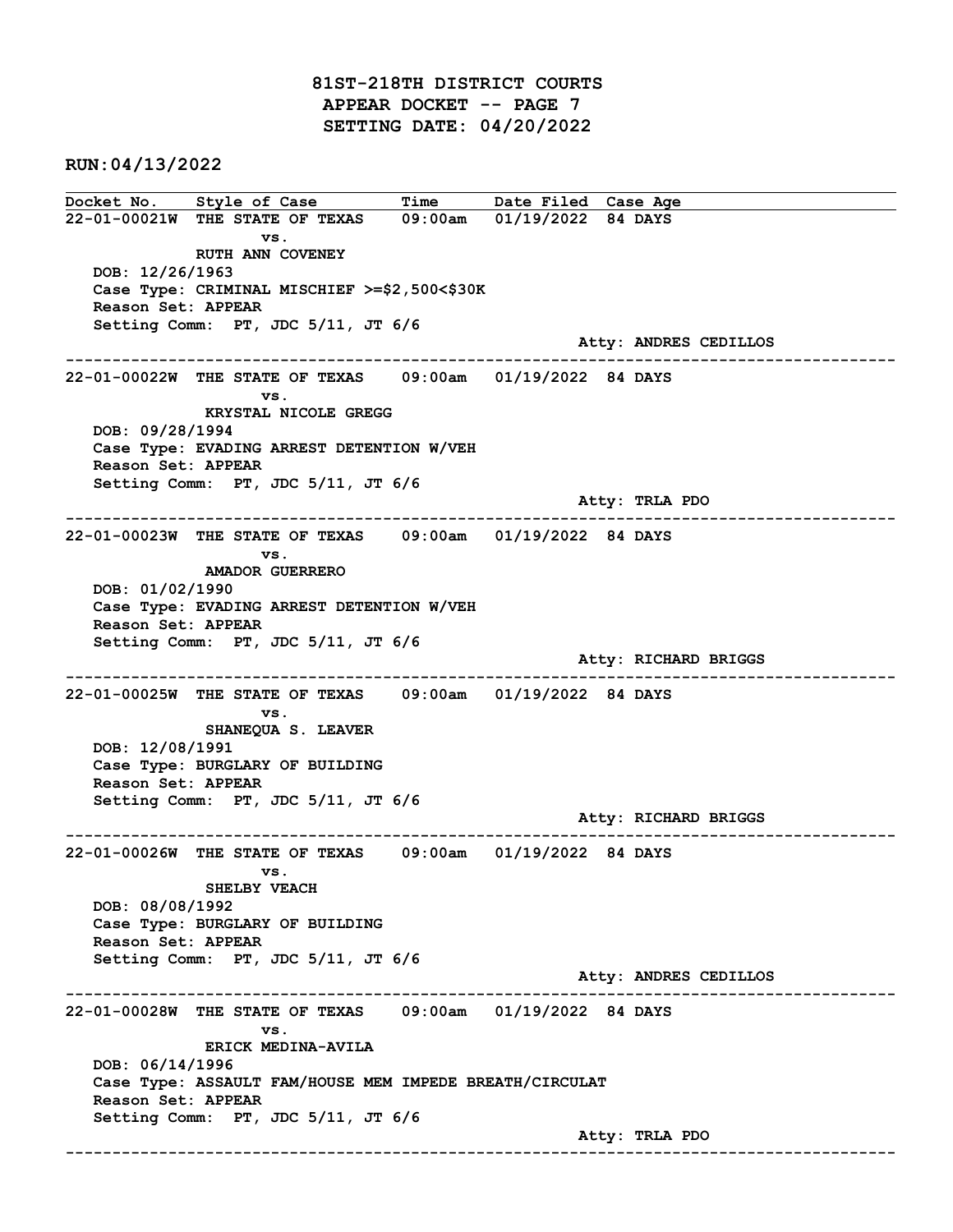81ST-218TH DISTRICT COURTS APPEAR DOCKET -- PAGE 7 SETTING DATE: 04/20/2022

RUN:04/13/2022

Docket No. Style of Case Time Date Filed Case Age 22-01-00021W THE STATE OF TEXAS 09:00am 01/19/2022 84 DAYS vs. RUTH ANN COVENEY DOB: 12/26/1963 Case Type: CRIMINAL MISCHIEF >=\$2,500<\$30K Reason Set: APPEAR Setting Comm: PT, JDC 5/11, JT 6/6 Atty: ANDRES CEDILLOS ------------------------------------------------------------------------------------------------------------------------ 22-01-00022W THE STATE OF TEXAS 09:00am 01/19/2022 84 DAYS vs. KRYSTAL NICOLE GREGG DOB: 09/28/1994 Case Type: EVADING ARREST DETENTION W/VEH Reason Set: APPEAR Setting Comm: PT, JDC 5/11, JT 6/6 Atty: TRLA PDO ------------------------------------------------------------------------------------------------------------------------ 22-01-00023W THE STATE OF TEXAS 09:00am 01/19/2022 84 DAYS vs. AMADOR GUERRERO DOB: 01/02/1990 Case Type: EVADING ARREST DETENTION W/VEH Reason Set: APPEAR Setting Comm: PT, JDC 5/11, JT 6/6 Atty: RICHARD BRIGGS ------------------------------------------------------------------------------------------------------------------------ 22-01-00025W THE STATE OF TEXAS 09:00am 01/19/2022 84 DAYS vs. SHANEQUA S. LEAVER DOB: 12/08/1991 Case Type: BURGLARY OF BUILDING Reason Set: APPEAR Setting Comm: PT, JDC 5/11, JT 6/6 Atty: RICHARD BRIGGS ------------------------------------------------------------------------------------------------------------------------ 22-01-00026W THE STATE OF TEXAS 09:00am 01/19/2022 84 DAYS vs. SHELBY VEACH DOB: 08/08/1992 Case Type: BURGLARY OF BUILDING Reason Set: APPEAR Setting Comm: PT, JDC 5/11, JT 6/6 Atty: ANDRES CEDILLOS ------------------------------------------------------------------------------------------------------------------------ 22-01-00028W THE STATE OF TEXAS 09:00am 01/19/2022 84 DAYS vs. ERICK MEDINA-AVILA DOB: 06/14/1996 Case Type: ASSAULT FAM/HOUSE MEM IMPEDE BREATH/CIRCULAT Reason Set: APPEAR Setting Comm: PT, JDC 5/11, JT 6/6 Atty: TRLA PDO ------------------------------------------------------------------------------------------------------------------------